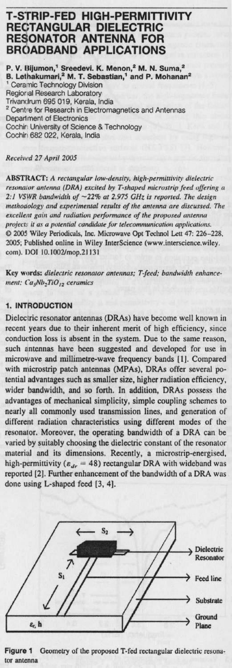# T-STRIP-**FED HIGH**-PERMITTIVITY RECTANGULAR **DIELECTRIC RESONATOR ANTENNA FOR BROADBAND** APPLICATIONS

**P. V. ItiJumon** ,' **Sreedevi**. **K. Menon**? **M. N. Suma? B. Lethakumari**2 **M. T. Sebastian** ,' **and P**. **Mohanan2** Ceramic Technology Division Regional Research Laboratory Trivandrum 695 019, Kerala, India <sup>2</sup> Centre for Research in Electromagnetics and Antennas Deparl ment of Electronics Cochir University of Science & Technology Cochin 682 022, Kerala, India

#### Received 27 April 2005

ABSTRACT: A *rectangular low-density, high-permittivity dielectric resona or antenna (DRA) excited by T-shaped microstrip feed offering a 2:1 VSWR bandwidth of -22% at 2.975 GHz is reported. The design methoaology and experimental results of the antenna are* discussed. *The excellent* gain *and radiation performance of the proposed antenna project:* it as *a potential candidate for telecommunication applications.* © 2005 Wiley Periodicals, Inc. Microwave Opt Tedmol Lett 47: 226-228, 2005; Published online in Wiley InterScience (www.interscience.wiley. com). DOI 10.1002/mop.21131

Key words: dielectric resonator antennas; T-feed; bandwidth enhance**ment**; Ca5Nb\_TiO,2 **ceramics**

## **1. INTRODUCTION**

Dielectric resonator antennas (DRAs) have become well known in recent years due to their inherent **merit** of high efficiency, since conduction loss is absent in the system. Due to the same reason, such **antennas** have been suggested and developed for use in microwave and millimetre-wave frequency bands [1]. Compared with microstrip patch antennas (MPAs), DRAs offer several potential advantages such as smaller size, higher radiation efficiency, wider bandwidth, and so forth. In addition, DRAs possess the **advantages** of mechanical simplicity**, simple** coupling schemes to nearly all commonly used transmission lines, and generation of different radiation characteristics using different modes of the resonator. Moreover, the operating bandwidth of a DRA can be varied by suitably choosing the dielectric constant of the resonator material and its dimensions. Recently, a microstrip-energised, high-permittivity ( $\varepsilon_{dr}$  = 48) rectangular DRA with wideband was reported [2). Further enhancement of the bandwidth of a DRA was done using L-shaped feed [3, 4].



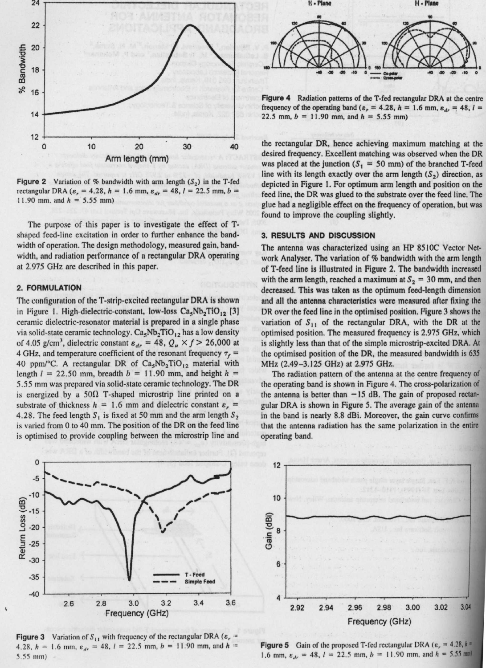

**Figure 2** Variation of % bandwidth with arm length  $(S_2)$  in the T-fed rectangular DRA ( $\varepsilon_r = 4.28$ ,  $h = 1.6$  mm,  $\varepsilon_{dr} = 48$ ,  $l = 22.5$  mm,  $b =$ 11.90 mm, and  $h = 5.55$  mm)

The purpose of this paper is to investigate the effect of Tshaped feed-line excitation in order to further enhance the bandwidth of operation. The design methodology, measured gain, bandwidth, and radiation performance of a rectangular DRA operating at 2.975 GHz are described in this paper.

## **2. FORMULATION**

The configuration of theT-strip-excited **rectangular** DRA is shown in Figure 1. High-dielectric-constant, low-loss  $Ca_5Nb_2TiO_{12}$  [3] ceramic dielectric-resonator material is prepared in a single phase via solid-state ceramic technology.  $Ca<sub>5</sub>Nb<sub>2</sub>TiO<sub>12</sub>$  has a low density of 4.05 g/cm<sup>3</sup>, dielectric constant  $\varepsilon_{dr} = 48$ ,  $Q_u \times f > 26,000$  at 4 GHz, and temperature coefficient of the resonant frequency  $\tau_f$  = 40 ppm/°C. A rectangular DR of  $Ca<sub>5</sub>Nb<sub>2</sub>TiO<sub>12</sub>$  material with length  $l = 22.50$  mm, breadth  $b = 11.90$  mm, and height  $h =$ 5.55 mm was prepared via solid-state ceramic technology. The DR is energized by a  $50\Omega$  T-shaped microstrip line printed on a substrate of thickness  $h = 1.6$  mm and dielectric constant  $\varepsilon_r =$ 4.28. The feed length S<sub>1</sub> is fixed at 50 mm and the arm length  $S_2$ is varied from 0 to 40 mm. The position of the DR on the feed line is optimised to provide coupling between the microstrip line and



**Figure** 4 Radiation patterns of the T-fed rectangular DRA at the centre frequency of the operating band ( $\varepsilon_r = 4.28$ ,  $h = 1.6$  mm,  $\varepsilon_{dr} = 48$ ,  $l =$ 22.5 mm,  $b = 11.90$  mm, and  $h = 5.55$  mm)

the rectangular DR, hence achieving maximum matching at the desired frequency. Excellent matching was observed when the DR was placed at the junction ( $S_1 = 50$  mm) of the branched T-feed line with its length exactly over the arm length  $(S_2)$  direction, as depicted in Figure 1. For optimum arm length and position on the feed line, the DR was glued to the substrate over the feed line. The glue had a negligible effect on the frequency of operation, but was found to improve the coupling slightly.

## **3. RESULTS AND DISCUSSION**

The antenna was characterized using an HP 8510C Vector Network Analyser. The variation of % bandwidth with the arm length of T-feed line is illustrated in Figure 2. The bandwidth increased with the arm length, reached a maximum at  $S_2 = 30$  mm, and then decreased. This was taken as the optimum feed-length dimension **and All the antenna characteristics were** measured after fixing the DR over the feed line in the optimised position. Figurc 3 shows the variation of  $S_{11}$  of the rectangular DRA, with the DR at the optimised position. The measured frequency is 2.975 GHz, which is slightly less than that of the simple microstrip-excited DRA. At the optimised position of the DR, the measured bandwidth is 635 MHz (2.49-3.125 GHz) at 2.975 GHz.

The radiation pattern of the antenna at the centre frequency of the operating band is shown in Figure 4. The cross-polarization of the antenna is better than  $-15$  dB. The gain of proposed rectangular DRA is shown in Figure 5. The average gain of the antenna in the band is nearly 8.8 dBi. Moreover, the gain curve confirms that the antenna radiation has the same polarization in the entire operating band.



**Figure 3** Variation of  $S_{11}$  with frequency of the rectangular DRA ( $\varepsilon_r$ 4.28,  $h = 1.6$  mm,  $\varepsilon_{dr} = 48$ ,  $l = 22.5$  mm,  $b = 11.90$  mm, and  $h =$ 5.55 mm)



**Figure 5** Gain of the proposed T-fed rectangular DRA ( $\varepsilon_r = 4.28$ ,  $h =$ 1.6 mm,  $\varepsilon_{dr} = 48$ ,  $l = 22.5$  mm,  $b = 11.90$  mm, and  $h = 5.55$  mm)